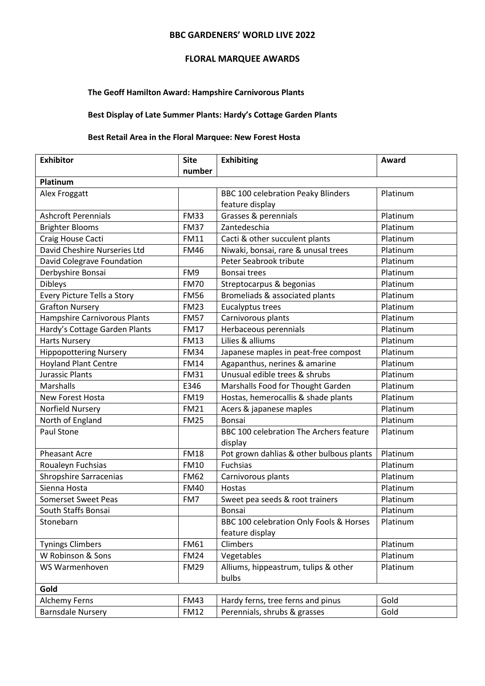#### **BBC GARDENERS' WORLD LIVE 2022**

### **FLORAL MARQUEE AWARDS**

#### **The Geoff Hamilton Award: Hampshire Carnivorous Plants**

### **Best Display of Late Summer Plants: Hardy's Cottage Garden Plants**

## **Best Retail Area in the Floral Marquee: New Forest Hosta**

| <b>Exhibitor</b>                    | <b>Site</b> | <b>Exhibiting</b>                         | Award    |
|-------------------------------------|-------------|-------------------------------------------|----------|
|                                     | number      |                                           |          |
| Platinum                            |             |                                           |          |
| Alex Froggatt                       |             | <b>BBC 100 celebration Peaky Blinders</b> | Platinum |
|                                     |             | feature display                           |          |
| <b>Ashcroft Perennials</b>          | <b>FM33</b> | Grasses & perennials                      | Platinum |
| <b>Brighter Blooms</b>              | <b>FM37</b> | Zantedeschia                              | Platinum |
| Craig House Cacti                   | <b>FM11</b> | Cacti & other succulent plants            | Platinum |
| David Cheshire Nurseries Ltd        | <b>FM46</b> | Niwaki, bonsai, rare & unusal trees       | Platinum |
| David Colegrave Foundation          |             | Peter Seabrook tribute                    | Platinum |
| Derbyshire Bonsai                   | FM9         | Bonsai trees                              | Platinum |
| <b>Dibleys</b>                      | <b>FM70</b> | Streptocarpus & begonias                  | Platinum |
| Every Picture Tells a Story         | <b>FM56</b> | Bromeliads & associated plants            | Platinum |
| <b>Grafton Nursery</b>              | <b>FM23</b> | Eucalyptus trees                          | Platinum |
| <b>Hampshire Carnivorous Plants</b> | <b>FM57</b> | Carnivorous plants                        | Platinum |
| Hardy's Cottage Garden Plants       | <b>FM17</b> | Herbaceous perennials                     | Platinum |
| <b>Harts Nursery</b>                | <b>FM13</b> | Lilies & alliums                          | Platinum |
| <b>Hippopottering Nursery</b>       | <b>FM34</b> | Japanese maples in peat-free compost      | Platinum |
| <b>Hoyland Plant Centre</b>         | <b>FM14</b> | Agapanthus, nerines & amarine             | Platinum |
| <b>Jurassic Plants</b>              | <b>FM31</b> | Unusual edible trees & shrubs             | Platinum |
| Marshalls                           | E346        | Marshalls Food for Thought Garden         | Platinum |
| New Forest Hosta                    | <b>FM19</b> | Hostas, hemerocallis & shade plants       | Platinum |
| Norfield Nursery                    | <b>FM21</b> | Acers & japanese maples                   | Platinum |
| North of England                    | <b>FM25</b> | Bonsai                                    | Platinum |
| Paul Stone                          |             | BBC 100 celebration The Archers feature   | Platinum |
|                                     |             | display                                   |          |
| <b>Pheasant Acre</b>                | <b>FM18</b> | Pot grown dahlias & other bulbous plants  | Platinum |
| Roualeyn Fuchsias                   | <b>FM10</b> | Fuchsias                                  | Platinum |
| <b>Shropshire Sarracenias</b>       | <b>FM62</b> | Carnivorous plants                        | Platinum |
| Sienna Hosta                        | <b>FM40</b> | Hostas                                    | Platinum |
| <b>Somerset Sweet Peas</b>          | FM7         | Sweet pea seeds & root trainers           | Platinum |
| South Staffs Bonsai                 |             | Bonsai                                    | Platinum |
| Stonebarn                           |             | BBC 100 celebration Only Fools & Horses   | Platinum |
|                                     |             | feature display                           |          |
| <b>Tynings Climbers</b>             | <b>FM61</b> | Climbers                                  | Platinum |
| W Robinson & Sons                   | <b>FM24</b> | Vegetables                                | Platinum |
| WS Warmenhoven                      | <b>FM29</b> | Alliums, hippeastrum, tulips & other      | Platinum |
|                                     |             | bulbs                                     |          |
| Gold                                |             |                                           |          |
| <b>Alchemy Ferns</b>                | <b>FM43</b> | Hardy ferns, tree ferns and pinus         | Gold     |
| <b>Barnsdale Nursery</b>            | <b>FM12</b> | Perennials, shrubs & grasses              | Gold     |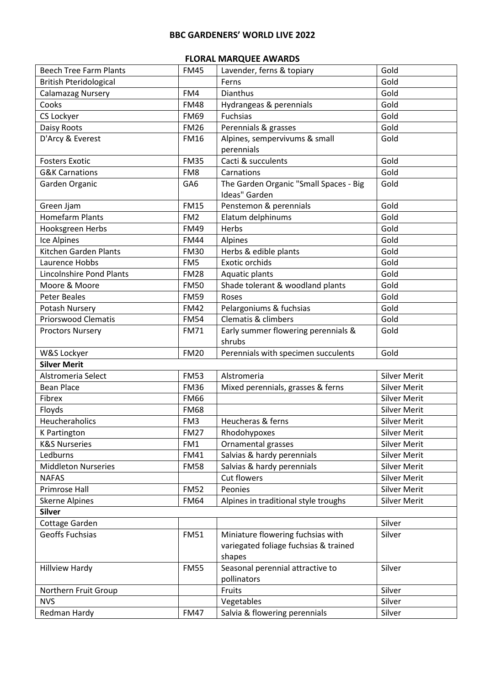# **BBC GARDENERS' WORLD LIVE 2022**

### **FLORAL MARQUEE AWARDS**

| <b>Beech Tree Farm Plants</b>   | <b>FM45</b>     | Lavender, ferns & topiary              | Gold                |
|---------------------------------|-----------------|----------------------------------------|---------------------|
| <b>British Pteridological</b>   |                 | Ferns                                  | Gold                |
| Calamazag Nursery               | FM4             | Dianthus                               | Gold                |
| Cooks                           | <b>FM48</b>     | Hydrangeas & perennials                | Gold                |
| CS Lockyer                      | <b>FM69</b>     | Fuchsias                               | Gold                |
| Daisy Roots                     | <b>FM26</b>     | Perennials & grasses                   | Gold                |
| D'Arcy & Everest                | <b>FM16</b>     | Alpines, sempervivums & small          | Gold                |
|                                 |                 | perennials                             |                     |
| <b>Fosters Exotic</b>           | <b>FM35</b>     | Cacti & succulents                     | Gold                |
| <b>G&amp;K Carnations</b>       | FM8             | Carnations                             | Gold                |
| Garden Organic                  | GA6             | The Garden Organic "Small Spaces - Big | Gold                |
|                                 |                 | Ideas" Garden                          |                     |
| Green Jjam                      | <b>FM15</b>     | Penstemon & perennials                 | Gold                |
| <b>Homefarm Plants</b>          | FM <sub>2</sub> | Elatum delphinums                      | Gold                |
| Hooksgreen Herbs                | <b>FM49</b>     | Herbs                                  | Gold                |
| Ice Alpines                     | <b>FM44</b>     | Alpines                                | Gold                |
| Kitchen Garden Plants           | <b>FM30</b>     | Herbs & edible plants                  | Gold                |
| Laurence Hobbs                  | FM <sub>5</sub> | Exotic orchids                         | Gold                |
| <b>Lincolnshire Pond Plants</b> | <b>FM28</b>     | Aquatic plants                         | Gold                |
| Moore & Moore                   | <b>FM50</b>     | Shade tolerant & woodland plants       | Gold                |
| <b>Peter Beales</b>             | <b>FM59</b>     | Roses                                  | Gold                |
| Potash Nursery                  | <b>FM42</b>     | Pelargoniums & fuchsias                | Gold                |
| <b>Priorswood Clematis</b>      | <b>FM54</b>     | Clematis & climbers                    | Gold                |
| <b>Proctors Nursery</b>         | <b>FM71</b>     | Early summer flowering perennials &    | Gold                |
|                                 |                 | shrubs                                 |                     |
| W&S Lockyer                     | <b>FM20</b>     | Perennials with specimen succulents    | Gold                |
| <b>Silver Merit</b>             |                 |                                        |                     |
| Alstromeria Select              | <b>FM53</b>     | Alstromeria                            | <b>Silver Merit</b> |
| <b>Bean Place</b>               | <b>FM36</b>     | Mixed perennials, grasses & ferns      | <b>Silver Merit</b> |
| Fibrex                          | <b>FM66</b>     |                                        | <b>Silver Merit</b> |
| Floyds                          | <b>FM68</b>     |                                        | <b>Silver Merit</b> |
| Heucheraholics                  | FM3             | Heucheras & ferns                      | <b>Silver Merit</b> |
| K Partington                    | <b>FM27</b>     | Rhodohypoxes                           | <b>Silver Merit</b> |
| <b>K&amp;S Nurseries</b>        | FM1             | Ornamental grasses                     | <b>Silver Merit</b> |
| Ledburns                        | <b>FM41</b>     | Salvias & hardy perennials             | <b>Silver Merit</b> |
| <b>Middleton Nurseries</b>      | <b>FM58</b>     | Salvias & hardy perennials             | <b>Silver Merit</b> |
| <b>NAFAS</b>                    |                 | Cut flowers                            | <b>Silver Merit</b> |
| Primrose Hall                   | <b>FM52</b>     | Peonies                                | <b>Silver Merit</b> |
| <b>Skerne Alpines</b>           | <b>FM64</b>     | Alpines in traditional style troughs   | <b>Silver Merit</b> |
| <b>Silver</b>                   |                 |                                        |                     |
| Cottage Garden                  |                 |                                        | Silver              |
| Geoffs Fuchsias                 | <b>FM51</b>     | Miniature flowering fuchsias with      | Silver              |
|                                 |                 | variegated foliage fuchsias & trained  |                     |
|                                 |                 | shapes                                 |                     |
| <b>Hillview Hardy</b>           | <b>FM55</b>     | Seasonal perennial attractive to       | Silver              |
|                                 |                 | pollinators                            |                     |
| Northern Fruit Group            |                 | Fruits                                 | Silver              |
| <b>NVS</b>                      |                 | Vegetables                             | Silver              |
| Redman Hardy                    | <b>FM47</b>     | Salvia & flowering perennials          | Silver              |
|                                 |                 |                                        |                     |